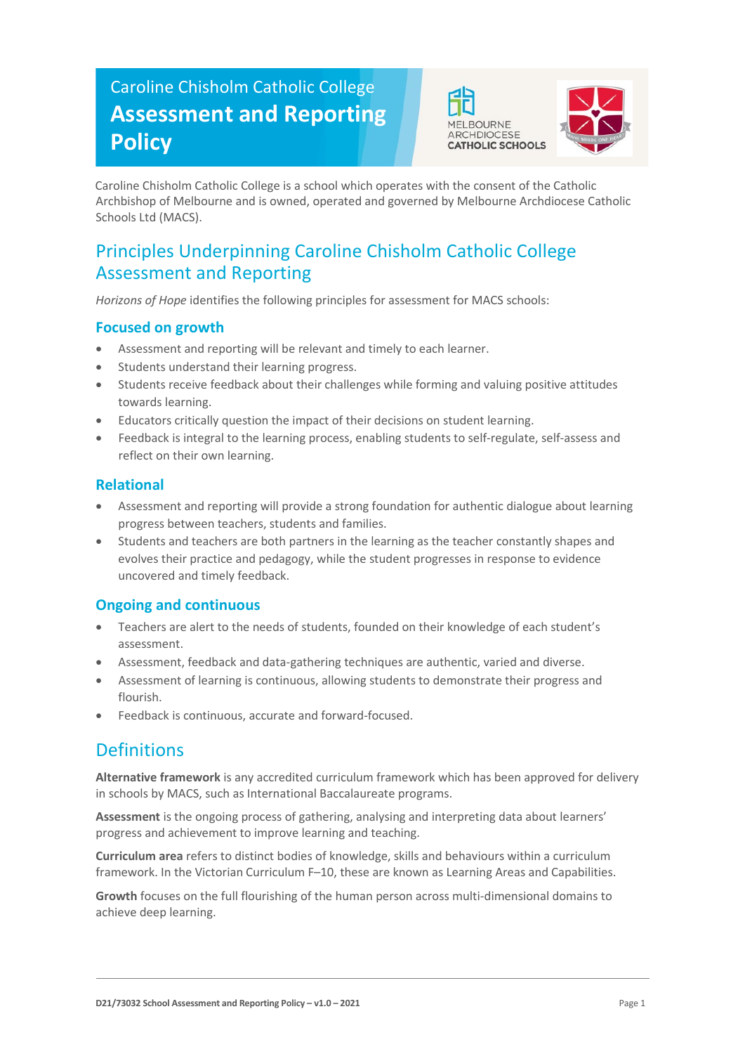# Caroline Chisholm Catholic College **Assessment and Reporting Policy**





Caroline Chisholm Catholic College is a school which operates with the consent of the Catholic Archbishop of Melbourne and is owned, operated and governed by Melbourne Archdiocese Catholic Schools Ltd (MACS).

## Principles Underpinning Caroline Chisholm Catholic College Assessment and Reporting

*Horizons of Hope* identifies the following principles for assessment for MACS schools:

#### **Focused on growth**

- Assessment and reporting will be relevant and timely to each learner.
- Students understand their learning progress.
- Students receive feedback about their challenges while forming and valuing positive attitudes towards learning.
- Educators critically question the impact of their decisions on student learning.
- Feedback is integral to the learning process, enabling students to self-regulate, self-assess and reflect on their own learning.

#### **Relational**

- Assessment and reporting will provide a strong foundation for authentic dialogue about learning progress between teachers, students and families.
- Students and teachers are both partners in the learning as the teacher constantly shapes and evolves their practice and pedagogy, while the student progresses in response to evidence uncovered and timely feedback.

### **Ongoing and continuous**

- Teachers are alert to the needs of students, founded on their knowledge of each student's assessment.
- Assessment, feedback and data-gathering techniques are authentic, varied and diverse.
- Assessment of learning is continuous, allowing students to demonstrate their progress and flourish.
- Feedback is continuous, accurate and forward-focused.

## Definitions

**Alternative framework** is any accredited curriculum framework which has been approved for delivery in schools by MACS, such as International Baccalaureate programs.

**Assessment** is the ongoing process of gathering, analysing and interpreting data about learners' progress and achievement to improve learning and teaching.

**Curriculum area** refers to distinct bodies of knowledge, skills and behaviours within a curriculum framework. In the Victorian Curriculum F–10, these are known as Learning Areas and Capabilities.

**Growth** focuses on the full flourishing of the human person across multi-dimensional domains to achieve deep learning.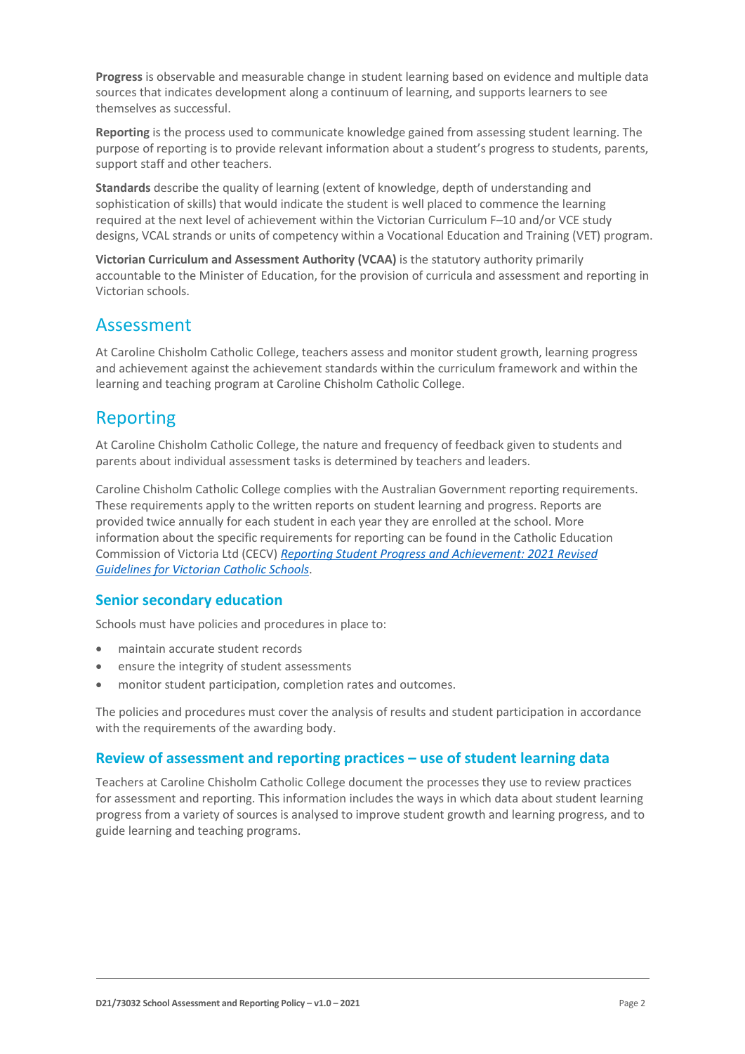**Progress** is observable and measurable change in student learning based on evidence and multiple data sources that indicates development along a continuum of learning, and supports learners to see themselves as successful.

**Reporting** is the process used to communicate knowledge gained from assessing student learning. The purpose of reporting is to provide relevant information about a student's progress to students, parents, support staff and other teachers.

**Standards** describe the quality of learning (extent of knowledge, depth of understanding and sophistication of skills) that would indicate the student is well placed to commence the learning required at the next level of achievement within the Victorian Curriculum F–10 and/or VCE study designs, VCAL strands or units of competency within a Vocational Education and Training (VET) program.

**Victorian Curriculum and Assessment Authority (VCAA)** is the statutory authority primarily accountable to the Minister of Education, for the provision of curricula and assessment and reporting in Victorian schools.

### Assessment

At Caroline Chisholm Catholic College, teachers assess and monitor student growth, learning progress and achievement against the achievement standards within the curriculum framework and within the learning and teaching program at Caroline Chisholm Catholic College.

## Reporting

At Caroline Chisholm Catholic College, the nature and frequency of feedback given to students and parents about individual assessment tasks is determined by teachers and leaders.

Caroline Chisholm Catholic College complies with the Australian Government reporting requirements. These requirements apply to the written reports on student learning and progress. Reports are provided twice annually for each student in each year they are enrolled at the school. More information about the specific requirements for reporting can be found in the Catholic Education Commission of Victoria Ltd (CECV) *[Reporting Student Progress and Achievement: 2021 Revised](https://cevn.cecv.catholic.edu.au/MelbourneDiocese/Document-File/Curriculum/Reporting/CECV-2019-Revised-Student-Reporting-Guidelines.aspx)  [Guidelines for Victorian Catholic Schools](https://cevn.cecv.catholic.edu.au/MelbourneDiocese/Document-File/Curriculum/Reporting/CECV-2019-Revised-Student-Reporting-Guidelines.aspx)*.

#### **Senior secondary education**

Schools must have policies and procedures in place to:

- maintain accurate student records
- ensure the integrity of student assessments
- monitor student participation, completion rates and outcomes.

The policies and procedures must cover the analysis of results and student participation in accordance with the requirements of the awarding body.

#### **Review of assessment and reporting practices – use of student learning data**

Teachers at Caroline Chisholm Catholic College document the processes they use to review practices for assessment and reporting. This information includes the ways in which data about student learning progress from a variety of sources is analysed to improve student growth and learning progress, and to guide learning and teaching programs.